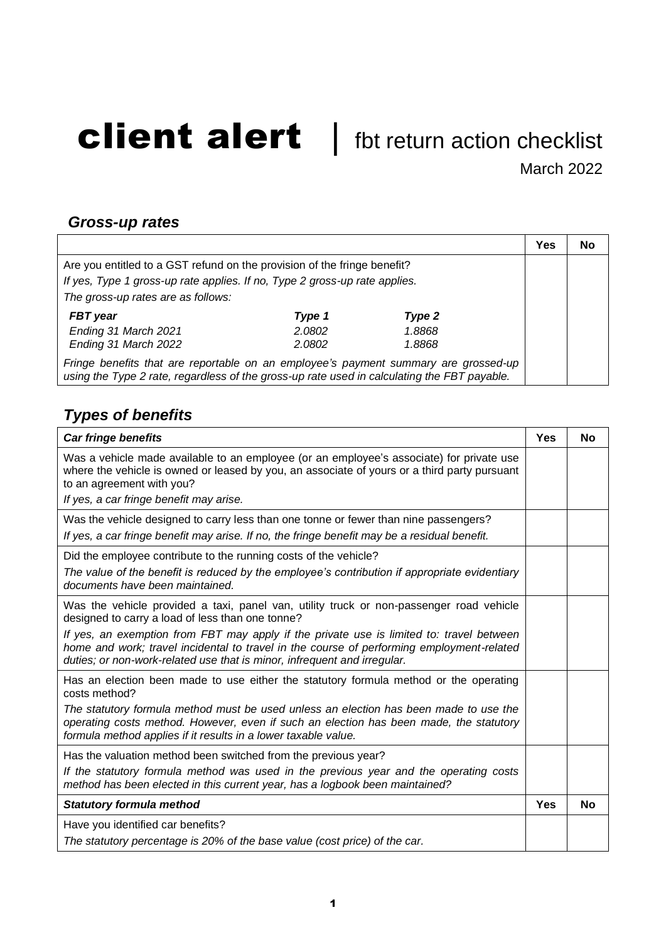## client alert | fbt return action checklist

March 2022

 $\overline{\mathbf{r}}$ 

 $\overline{\phantom{0}}$ 

## *Gross-up rates*

|                                                                                                                                                                                    |        |        | Yes | No |
|------------------------------------------------------------------------------------------------------------------------------------------------------------------------------------|--------|--------|-----|----|
| Are you entitled to a GST refund on the provision of the fringe benefit?                                                                                                           |        |        |     |    |
| If yes, Type 1 gross-up rate applies. If no, Type 2 gross-up rate applies.                                                                                                         |        |        |     |    |
| The gross-up rates are as follows:                                                                                                                                                 |        |        |     |    |
| <b>FBT</b> year                                                                                                                                                                    | Type 1 | Type 2 |     |    |
| Ending 31 March 2021                                                                                                                                                               | 2.0802 | 1.8868 |     |    |
| Ending 31 March 2022                                                                                                                                                               | 2.0802 | 1.8868 |     |    |
| Fringe benefits that are reportable on an employee's payment summary are grossed-up<br>using the Type 2 rate, regardless of the gross-up rate used in calculating the FBT payable. |        |        |     |    |

## *Types of benefits*

| <b>Car fringe benefits</b>                                                                                                                                                                                                                                        |     | <b>No</b> |
|-------------------------------------------------------------------------------------------------------------------------------------------------------------------------------------------------------------------------------------------------------------------|-----|-----------|
| Was a vehicle made available to an employee (or an employee's associate) for private use<br>where the vehicle is owned or leased by you, an associate of yours or a third party pursuant<br>to an agreement with you?                                             |     |           |
| If yes, a car fringe benefit may arise.                                                                                                                                                                                                                           |     |           |
| Was the vehicle designed to carry less than one tonne or fewer than nine passengers?<br>If yes, a car fringe benefit may arise. If no, the fringe benefit may be a residual benefit.                                                                              |     |           |
| Did the employee contribute to the running costs of the vehicle?                                                                                                                                                                                                  |     |           |
| The value of the benefit is reduced by the employee's contribution if appropriate evidentiary<br>documents have been maintained.                                                                                                                                  |     |           |
| Was the vehicle provided a taxi, panel van, utility truck or non-passenger road vehicle<br>designed to carry a load of less than one tonne?                                                                                                                       |     |           |
| If yes, an exemption from FBT may apply if the private use is limited to: travel between<br>home and work; travel incidental to travel in the course of performing employment-related<br>duties; or non-work-related use that is minor, infrequent and irregular. |     |           |
| Has an election been made to use either the statutory formula method or the operating<br>costs method?                                                                                                                                                            |     |           |
| The statutory formula method must be used unless an election has been made to use the<br>operating costs method. However, even if such an election has been made, the statutory<br>formula method applies if it results in a lower taxable value.                 |     |           |
| Has the valuation method been switched from the previous year?                                                                                                                                                                                                    |     |           |
| If the statutory formula method was used in the previous year and the operating costs<br>method has been elected in this current year, has a logbook been maintained?                                                                                             |     |           |
| <b>Statutory formula method</b>                                                                                                                                                                                                                                   | Yes | <b>No</b> |
| Have you identified car benefits?                                                                                                                                                                                                                                 |     |           |
| The statutory percentage is 20% of the base value (cost price) of the car.                                                                                                                                                                                        |     |           |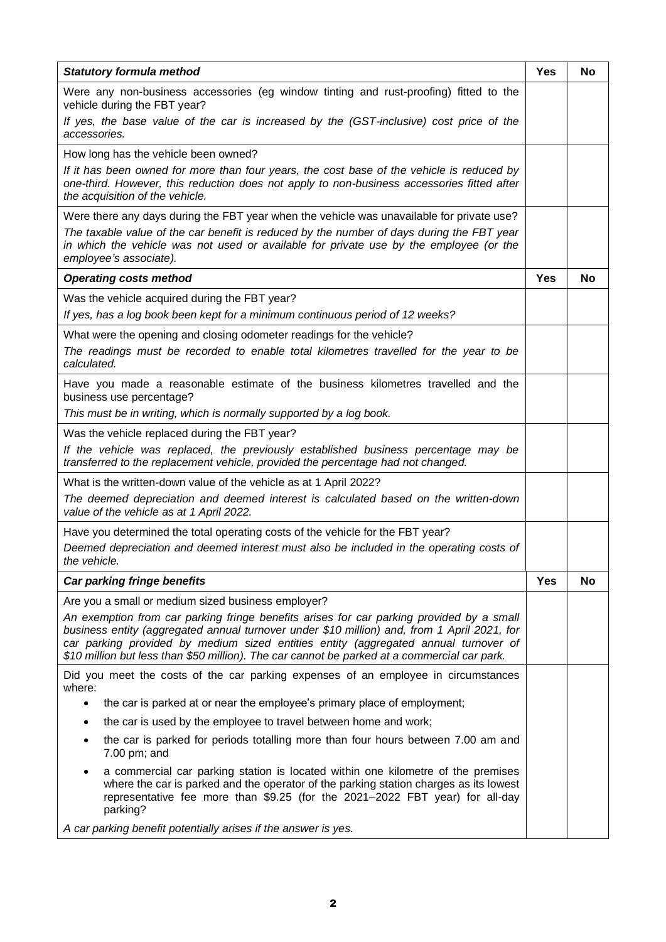| <b>Statutory formula method</b>                                                                                                                                                                                                                                                                                                                                                | Yes | No        |
|--------------------------------------------------------------------------------------------------------------------------------------------------------------------------------------------------------------------------------------------------------------------------------------------------------------------------------------------------------------------------------|-----|-----------|
| Were any non-business accessories (eg window tinting and rust-proofing) fitted to the<br>vehicle during the FBT year?                                                                                                                                                                                                                                                          |     |           |
| If yes, the base value of the car is increased by the (GST-inclusive) cost price of the<br>accessories.                                                                                                                                                                                                                                                                        |     |           |
| How long has the vehicle been owned?                                                                                                                                                                                                                                                                                                                                           |     |           |
| If it has been owned for more than four years, the cost base of the vehicle is reduced by<br>one-third. However, this reduction does not apply to non-business accessories fitted after<br>the acquisition of the vehicle.                                                                                                                                                     |     |           |
| Were there any days during the FBT year when the vehicle was unavailable for private use?                                                                                                                                                                                                                                                                                      |     |           |
| The taxable value of the car benefit is reduced by the number of days during the FBT year<br>in which the vehicle was not used or available for private use by the employee (or the<br>employee's associate).                                                                                                                                                                  |     |           |
| <b>Operating costs method</b>                                                                                                                                                                                                                                                                                                                                                  | Yes | <b>No</b> |
| Was the vehicle acquired during the FBT year?                                                                                                                                                                                                                                                                                                                                  |     |           |
| If yes, has a log book been kept for a minimum continuous period of 12 weeks?                                                                                                                                                                                                                                                                                                  |     |           |
| What were the opening and closing odometer readings for the vehicle?<br>The readings must be recorded to enable total kilometres travelled for the year to be<br>calculated.                                                                                                                                                                                                   |     |           |
| Have you made a reasonable estimate of the business kilometres travelled and the<br>business use percentage?                                                                                                                                                                                                                                                                   |     |           |
| This must be in writing, which is normally supported by a log book.                                                                                                                                                                                                                                                                                                            |     |           |
| Was the vehicle replaced during the FBT year?                                                                                                                                                                                                                                                                                                                                  |     |           |
| If the vehicle was replaced, the previously established business percentage may be<br>transferred to the replacement vehicle, provided the percentage had not changed.                                                                                                                                                                                                         |     |           |
| What is the written-down value of the vehicle as at 1 April 2022?                                                                                                                                                                                                                                                                                                              |     |           |
| The deemed depreciation and deemed interest is calculated based on the written-down<br>value of the vehicle as at 1 April 2022.                                                                                                                                                                                                                                                |     |           |
| Have you determined the total operating costs of the vehicle for the FBT year?                                                                                                                                                                                                                                                                                                 |     |           |
| Deemed depreciation and deemed interest must also be included in the operating costs of<br>the vehicle.                                                                                                                                                                                                                                                                        |     |           |
| Car parking fringe benefits                                                                                                                                                                                                                                                                                                                                                    | Yes | No        |
| Are you a small or medium sized business employer?                                                                                                                                                                                                                                                                                                                             |     |           |
| An exemption from car parking fringe benefits arises for car parking provided by a small<br>business entity (aggregated annual turnover under \$10 million) and, from 1 April 2021, for<br>car parking provided by medium sized entities entity (aggregated annual turnover of<br>\$10 million but less than \$50 million). The car cannot be parked at a commercial car park. |     |           |
| Did you meet the costs of the car parking expenses of an employee in circumstances<br>where:                                                                                                                                                                                                                                                                                   |     |           |
| the car is parked at or near the employee's primary place of employment;<br>$\bullet$                                                                                                                                                                                                                                                                                          |     |           |
| the car is used by the employee to travel between home and work;                                                                                                                                                                                                                                                                                                               |     |           |
| the car is parked for periods totalling more than four hours between 7.00 am and<br>7.00 pm; and                                                                                                                                                                                                                                                                               |     |           |
| a commercial car parking station is located within one kilometre of the premises<br>where the car is parked and the operator of the parking station charges as its lowest<br>representative fee more than \$9.25 (for the 2021-2022 FBT year) for all-day<br>parking?                                                                                                          |     |           |
| A car parking benefit potentially arises if the answer is yes.                                                                                                                                                                                                                                                                                                                 |     |           |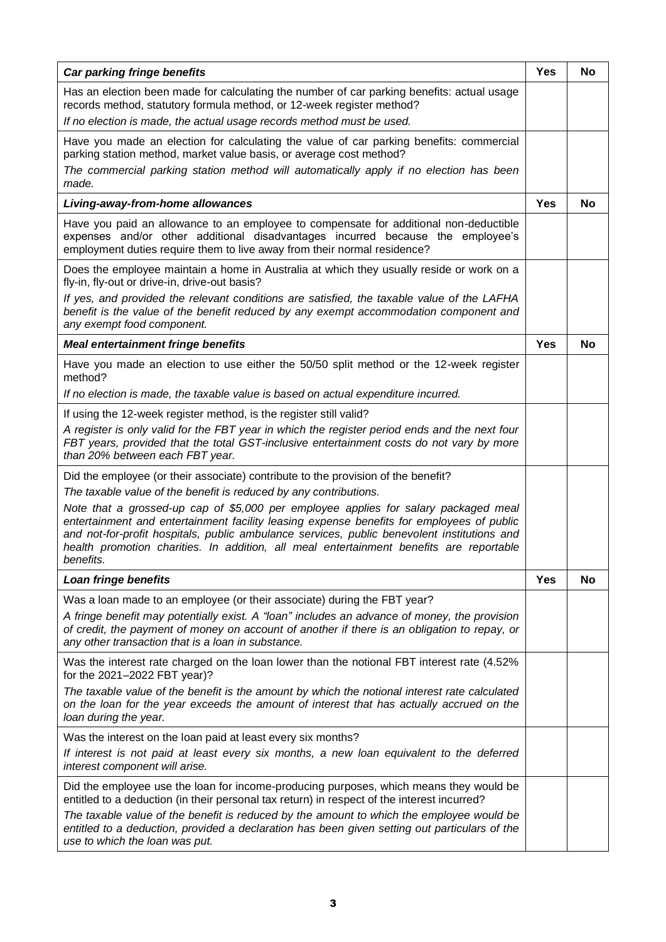| Car parking fringe benefits                                                                                                                                                                                                                                                                                                                                                             | Yes        | <b>No</b> |
|-----------------------------------------------------------------------------------------------------------------------------------------------------------------------------------------------------------------------------------------------------------------------------------------------------------------------------------------------------------------------------------------|------------|-----------|
| Has an election been made for calculating the number of car parking benefits: actual usage<br>records method, statutory formula method, or 12-week register method?                                                                                                                                                                                                                     |            |           |
| If no election is made, the actual usage records method must be used.                                                                                                                                                                                                                                                                                                                   |            |           |
| Have you made an election for calculating the value of car parking benefits: commercial<br>parking station method, market value basis, or average cost method?                                                                                                                                                                                                                          |            |           |
| The commercial parking station method will automatically apply if no election has been<br>made.                                                                                                                                                                                                                                                                                         |            |           |
| Living-away-from-home allowances                                                                                                                                                                                                                                                                                                                                                        | <b>Yes</b> | No        |
| Have you paid an allowance to an employee to compensate for additional non-deductible<br>expenses and/or other additional disadvantages incurred because the employee's<br>employment duties require them to live away from their normal residence?                                                                                                                                     |            |           |
| Does the employee maintain a home in Australia at which they usually reside or work on a<br>fly-in, fly-out or drive-in, drive-out basis?                                                                                                                                                                                                                                               |            |           |
| If yes, and provided the relevant conditions are satisfied, the taxable value of the LAFHA<br>benefit is the value of the benefit reduced by any exempt accommodation component and<br>any exempt food component.                                                                                                                                                                       |            |           |
| <b>Meal entertainment fringe benefits</b>                                                                                                                                                                                                                                                                                                                                               | <b>Yes</b> | No        |
| Have you made an election to use either the 50/50 split method or the 12-week register<br>method?                                                                                                                                                                                                                                                                                       |            |           |
| If no election is made, the taxable value is based on actual expenditure incurred.                                                                                                                                                                                                                                                                                                      |            |           |
| If using the 12-week register method, is the register still valid?                                                                                                                                                                                                                                                                                                                      |            |           |
| A register is only valid for the FBT year in which the register period ends and the next four<br>FBT years, provided that the total GST-inclusive entertainment costs do not vary by more<br>than 20% between each FBT year.                                                                                                                                                            |            |           |
| Did the employee (or their associate) contribute to the provision of the benefit?                                                                                                                                                                                                                                                                                                       |            |           |
| The taxable value of the benefit is reduced by any contributions.                                                                                                                                                                                                                                                                                                                       |            |           |
| Note that a grossed-up cap of \$5,000 per employee applies for salary packaged meal<br>entertainment and entertainment facility leasing expense benefits for employees of public<br>and not-for-profit hospitals, public ambulance services, public benevolent institutions and<br>health promotion charities. In addition, all meal entertainment benefits are reportable<br>benefits. |            |           |
| Loan fringe benefits                                                                                                                                                                                                                                                                                                                                                                    | Yes        | No        |
| Was a loan made to an employee (or their associate) during the FBT year?                                                                                                                                                                                                                                                                                                                |            |           |
| A fringe benefit may potentially exist. A "loan" includes an advance of money, the provision<br>of credit, the payment of money on account of another if there is an obligation to repay, or<br>any other transaction that is a loan in substance.                                                                                                                                      |            |           |
| Was the interest rate charged on the loan lower than the notional FBT interest rate (4.52%<br>for the 2021-2022 FBT year)?                                                                                                                                                                                                                                                              |            |           |
| The taxable value of the benefit is the amount by which the notional interest rate calculated<br>on the loan for the year exceeds the amount of interest that has actually accrued on the<br>loan during the year.                                                                                                                                                                      |            |           |
| Was the interest on the loan paid at least every six months?                                                                                                                                                                                                                                                                                                                            |            |           |
| If interest is not paid at least every six months, a new loan equivalent to the deferred<br>interest component will arise.                                                                                                                                                                                                                                                              |            |           |
| Did the employee use the loan for income-producing purposes, which means they would be<br>entitled to a deduction (in their personal tax return) in respect of the interest incurred?                                                                                                                                                                                                   |            |           |
| The taxable value of the benefit is reduced by the amount to which the employee would be<br>entitled to a deduction, provided a declaration has been given setting out particulars of the<br>use to which the loan was put.                                                                                                                                                             |            |           |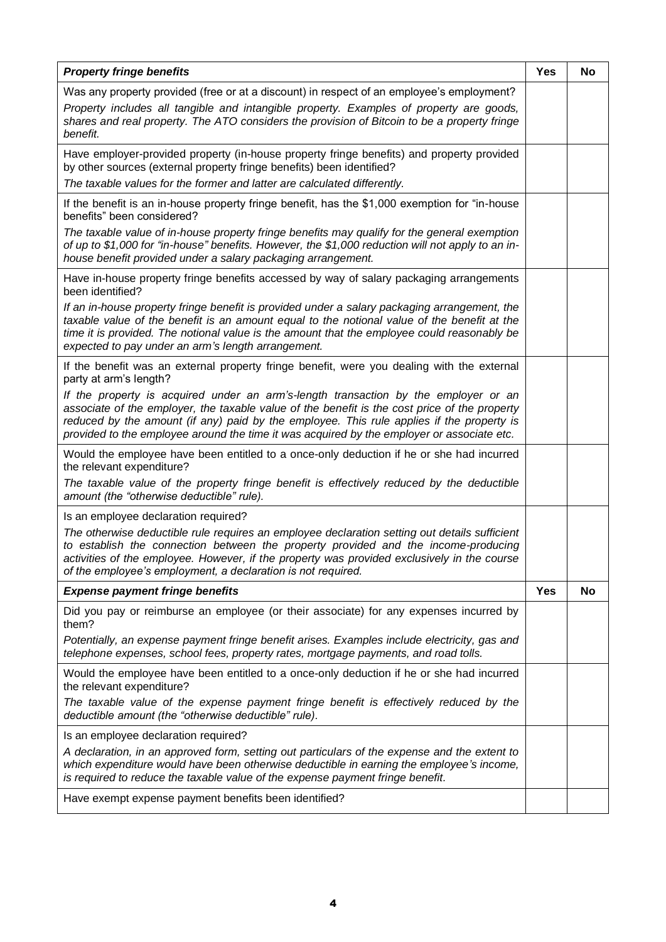| <b>Property fringe benefits</b>                                                                                                                                                                                                                                                                                                                                                 |            | No |
|---------------------------------------------------------------------------------------------------------------------------------------------------------------------------------------------------------------------------------------------------------------------------------------------------------------------------------------------------------------------------------|------------|----|
| Was any property provided (free or at a discount) in respect of an employee's employment?<br>Property includes all tangible and intangible property. Examples of property are goods,<br>shares and real property. The ATO considers the provision of Bitcoin to be a property fringe<br>benefit.                                                                                |            |    |
| Have employer-provided property (in-house property fringe benefits) and property provided<br>by other sources (external property fringe benefits) been identified?                                                                                                                                                                                                              |            |    |
| The taxable values for the former and latter are calculated differently.                                                                                                                                                                                                                                                                                                        |            |    |
| If the benefit is an in-house property fringe benefit, has the \$1,000 exemption for "in-house"<br>benefits" been considered?                                                                                                                                                                                                                                                   |            |    |
| The taxable value of in-house property fringe benefits may qualify for the general exemption<br>of up to \$1,000 for "in-house" benefits. However, the \$1,000 reduction will not apply to an in-<br>house benefit provided under a salary packaging arrangement.                                                                                                               |            |    |
| Have in-house property fringe benefits accessed by way of salary packaging arrangements<br>been identified?                                                                                                                                                                                                                                                                     |            |    |
| If an in-house property fringe benefit is provided under a salary packaging arrangement, the<br>taxable value of the benefit is an amount equal to the notional value of the benefit at the<br>time it is provided. The notional value is the amount that the employee could reasonably be<br>expected to pay under an arm's length arrangement.                                |            |    |
| If the benefit was an external property fringe benefit, were you dealing with the external<br>party at arm's length?                                                                                                                                                                                                                                                            |            |    |
| If the property is acquired under an arm's-length transaction by the employer or an<br>associate of the employer, the taxable value of the benefit is the cost price of the property<br>reduced by the amount (if any) paid by the employee. This rule applies if the property is<br>provided to the employee around the time it was acquired by the employer or associate etc. |            |    |
| Would the employee have been entitled to a once-only deduction if he or she had incurred<br>the relevant expenditure?                                                                                                                                                                                                                                                           |            |    |
| The taxable value of the property fringe benefit is effectively reduced by the deductible<br>amount (the "otherwise deductible" rule).                                                                                                                                                                                                                                          |            |    |
| Is an employee declaration required?                                                                                                                                                                                                                                                                                                                                            |            |    |
| The otherwise deductible rule requires an employee declaration setting out details sufficient<br>to establish the connection between the property provided and the income-producing<br>activities of the employee. However, if the property was provided exclusively in the course<br>of the employee's employment, a declaration is not required.                              |            |    |
| <b>Expense payment fringe benefits</b>                                                                                                                                                                                                                                                                                                                                          | <b>Yes</b> | No |
| Did you pay or reimburse an employee (or their associate) for any expenses incurred by<br>them?                                                                                                                                                                                                                                                                                 |            |    |
| Potentially, an expense payment fringe benefit arises. Examples include electricity, gas and<br>telephone expenses, school fees, property rates, mortgage payments, and road tolls.                                                                                                                                                                                             |            |    |
| Would the employee have been entitled to a once-only deduction if he or she had incurred<br>the relevant expenditure?                                                                                                                                                                                                                                                           |            |    |
| The taxable value of the expense payment fringe benefit is effectively reduced by the<br>deductible amount (the "otherwise deductible" rule).                                                                                                                                                                                                                                   |            |    |
| Is an employee declaration required?                                                                                                                                                                                                                                                                                                                                            |            |    |
| A declaration, in an approved form, setting out particulars of the expense and the extent to<br>which expenditure would have been otherwise deductible in earning the employee's income,<br>is required to reduce the taxable value of the expense payment fringe benefit.                                                                                                      |            |    |
| Have exempt expense payment benefits been identified?                                                                                                                                                                                                                                                                                                                           |            |    |